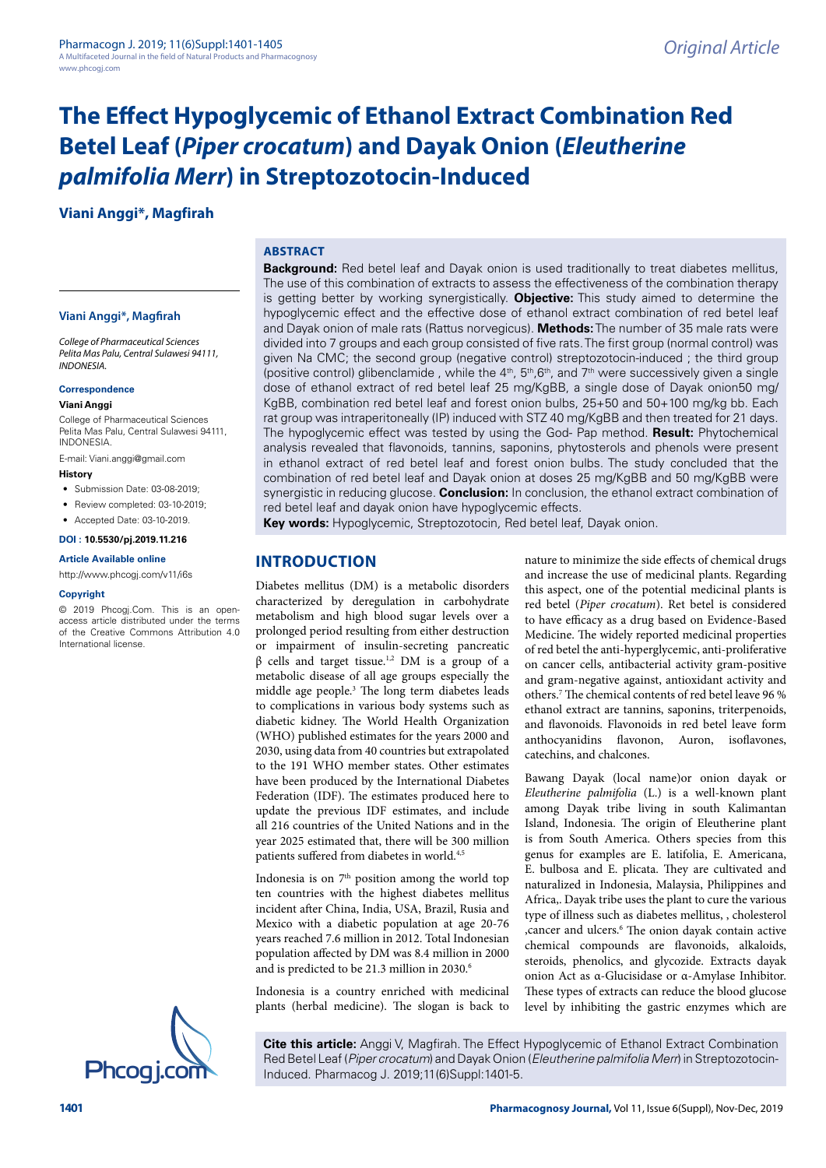**Viani Anggi\*, Magfirah**

# **ABSTRACT**

#### **Viani Anggi\*, Magfirah**

*College of Pharmaceutical Sciences Pelita Mas Palu, Central Sulawesi 94111, INDONESIA.*

# **Correspondence**

# **Viani Anggi**

College of Pharmaceutical Sciences Pelita Mas Palu, Central Sulawesi 94111, INDONESIA.

E-mail: [Viani.anggi@gmail.com](mailto:Viani.anggi@gmail.com)

### **History**

- Submission Date: 03-08-2019;
- Review completed: 03-10-2019;
- Accepted Date: 03-10-2019.

# **DOI : 10.5530/pj.2019.11.216**

#### **Article Available online**

<http://www.phcogj.com/v11/i6s>

#### **Copyright**

© 2019 Phcogj.Com. This is an openaccess article distributed under the terms of the Creative Commons Attribution 4.0 International license.



**Background:** Red betel leaf and Dayak onion is used traditionally to treat diabetes mellitus, The use of this combination of extracts to assess the effectiveness of the combination therapy is getting better by working synergistically. **Objective:** This study aimed to determine the hypoglycemic effect and the effective dose of ethanol extract combination of red betel leaf and Dayak onion of male rats (Rattus norvegicus). **Methods:** The number of 35 male rats were divided into 7 groups and each group consisted of five rats. The first group (normal control) was given Na CMC; the second group (negative control) streptozotocin-induced ; the third group (positive control) glibenclamide, while the  $4<sup>th</sup>$ ,  $5<sup>th</sup>$ , 6<sup>th</sup>, and 7<sup>th</sup> were successively given a single dose of ethanol extract of red betel leaf 25 mg/KgBB, a single dose of Dayak onion50 mg/ KgBB, combination red betel leaf and forest onion bulbs, 25+50 and 50+100 mg/kg bb. Each rat group was intraperitoneally (IP) induced with STZ 40 mg/KgBB and then treated for 21 days. The hypoglycemic effect was tested by using the God- Pap method. **Result:** Phytochemical analysis revealed that flavonoids, tannins, saponins, phytosterols and phenols were present in ethanol extract of red betel leaf and forest onion bulbs. The study concluded that the combination of red betel leaf and Dayak onion at doses 25 mg/KgBB and 50 mg/KgBB were synergistic in reducing glucose. **Conclusion:** In conclusion, the ethanol extract combination of red betel leaf and dayak onion have hypoglycemic effects.

**Key words:** Hypoglycemic, Streptozotocin*,* Red betel leaf, Dayak onion.

# **INTRODUCTION**

Diabetes mellitus (DM) is a metabolic disorders characterized by deregulation in carbohydrate metabolism and high blood sugar levels over a prolonged period resulting from either destruction or impairment of insulin-secreting pancreatic  $β$  cells and target tissue.<sup>1,2</sup> DM is a group of a metabolic disease of all age groups especially the middle age people.3 The long term diabetes leads to complications in various body systems such as diabetic kidney. The World Health Organization (WHO) published estimates for the years 2000 and 2030, using data from 40 countries but extrapolated to the 191 WHO member states. Other estimates have been produced by the International Diabetes Federation (IDF). The estimates produced here to update the previous IDF estimates, and include all 216 countries of the United Nations and in the year 2025 estimated that, there will be 300 million patients suffered from diabetes in world.<sup>4,5</sup>

Indonesia is on 7<sup>th</sup> position among the world top ten countries with the highest diabetes mellitus incident after China, India, USA, Brazil, Rusia and Mexico with a diabetic population at age 20-76 years reached 7.6 million in 2012. Total Indonesian population affected by DM was 8.4 million in 2000 and is predicted to be 21.3 million in 2030.<sup>6</sup>

Indonesia is a country enriched with medicinal plants (herbal medicine). The slogan is back to

nature to minimize the side effects of chemical drugs and increase the use of medicinal plants. Regarding this aspect, one of the potential medicinal plants is red betel (*Piper crocatum*). Ret betel is considered to have efficacy as a drug based on Evidence-Based Medicine. The widely reported medicinal properties of red betel the anti-hyperglycemic, anti-proliferative on cancer cells, antibacterial activity gram-positive and gram-negative against, antioxidant activity and others.7 The chemical contents of red betel leave 96 % ethanol extract are tannins, saponins, triterpenoids, and flavonoids. Flavonoids in red betel leave form anthocyanidins flavonon, Auron, isoflavones, catechins, and chalcones.

Bawang Dayak (local name)or onion dayak or *Eleutherine palmifolia* (L.) is a well-known plant among Dayak tribe living in south Kalimantan Island, Indonesia. The origin of Eleutherine plant is from South America. Others species from this genus for examples are E. latifolia, E. Americana, E. bulbosa and E. plicata. They are cultivated and naturalized in Indonesia, Malaysia, Philippines and Africa,. Dayak tribe uses the plant to cure the various type of illness such as diabetes mellitus, , cholesterol ,cancer and ulcers.6 The onion dayak contain active chemical compounds are flavonoids, alkaloids, steroids, phenolics, and glycozide. Extracts dayak onion Act as α-Glucisidase or α-Amylase Inhibitor. These types of extracts can reduce the blood glucose level by inhibiting the gastric enzymes which are

**Cite this article:** Anggi V, Magfirah. The Effect Hypoglycemic of Ethanol Extract Combination Red Betel Leaf (*Piper crocatum*) and Dayak Onion (*Eleutherine palmifolia Merr*) in Streptozotocin-<br>Induced. Pharmacog J. 2019;11(6)Suppl:1401-5.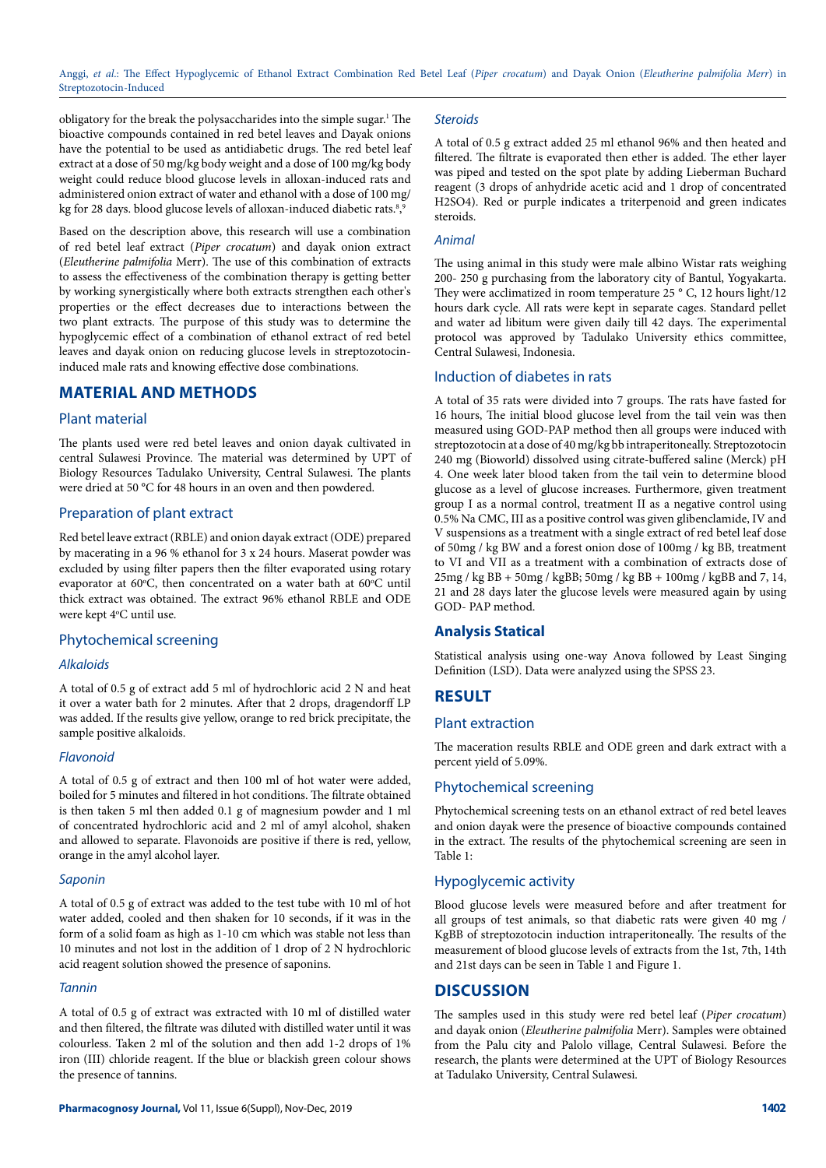obligatory for the break the polysaccharides into the simple sugar.<sup>1</sup> The bioactive compounds contained in red betel leaves and Dayak onions have the potential to be used as antidiabetic drugs. The red betel leaf extract at a dose of 50 mg/kg body weight and a dose of 100 mg/kg body weight could reduce blood glucose levels in alloxan-induced rats and administered onion extract of water and ethanol with a dose of 100 mg/ kg for 28 days. blood glucose levels of alloxan-induced diabetic rats.<sup>8</sup>,<sup>9</sup>

Based on the description above, this research will use a combination of red betel leaf extract (*Piper crocatum*) and dayak onion extract (*Eleutherine palmifolia* Merr). The use of this combination of extracts to assess the effectiveness of the combination therapy is getting better by working synergistically where both extracts strengthen each other's properties or the effect decreases due to interactions between the two plant extracts. The purpose of this study was to determine the hypoglycemic effect of a combination of ethanol extract of red betel leaves and dayak onion on reducing glucose levels in streptozotocininduced male rats and knowing effective dose combinations.

# **MATERIAL AND METHODS**

# Plant material

The plants used were red betel leaves and onion dayak cultivated in central Sulawesi Province. The material was determined by UPT of Biology Resources Tadulako University, Central Sulawesi. The plants were dried at 50 °C for 48 hours in an oven and then powdered.

# Preparation of plant extract

Red betel leave extract (RBLE) and onion dayak extract (ODE) prepared by macerating in a 96 % ethanol for 3 x 24 hours. Maserat powder was excluded by using filter papers then the filter evaporated using rotary evaporator at 60°C, then concentrated on a water bath at 60°C until thick extract was obtained. The extract 96% ethanol RBLE and ODE were kept 4°C until use.

#### Phytochemical screening

#### *Alkaloids*

A total of 0.5 g of extract add 5 ml of hydrochloric acid 2 N and heat it over a water bath for 2 minutes. After that 2 drops, dragendorff LP was added. If the results give yellow, orange to red brick precipitate, the sample positive alkaloids.

### *Flavonoid*

A total of 0.5 g of extract and then 100 ml of hot water were added, boiled for 5 minutes and filtered in hot conditions. The filtrate obtained is then taken 5 ml then added 0.1 g of magnesium powder and 1 ml of concentrated hydrochloric acid and 2 ml of amyl alcohol, shaken and allowed to separate. Flavonoids are positive if there is red, yellow, orange in the amyl alcohol layer.

#### *Saponin*

A total of 0.5 g of extract was added to the test tube with 10 ml of hot water added, cooled and then shaken for 10 seconds, if it was in the form of a solid foam as high as 1-10 cm which was stable not less than 10 minutes and not lost in the addition of 1 drop of 2 N hydrochloric acid reagent solution showed the presence of saponins.

#### *Tannin*

A total of 0.5 g of extract was extracted with 10 ml of distilled water and then filtered, the filtrate was diluted with distilled water until it was colourless. Taken 2 ml of the solution and then add 1-2 drops of 1% iron (III) chloride reagent. If the blue or blackish green colour shows the presence of tannins.

#### *Steroids*

A total of 0.5 g extract added 25 ml ethanol 96% and then heated and filtered. The filtrate is evaporated then ether is added. The ether layer was piped and tested on the spot plate by adding Lieberman Buchard reagent (3 drops of anhydride acetic acid and 1 drop of concentrated H2SO4). Red or purple indicates a triterpenoid and green indicates steroids.

#### *Animal*

The using animal in this study were male albino Wistar rats weighing 200- 250 g purchasing from the laboratory city of Bantul, Yogyakarta. They were acclimatized in room temperature 25 ° C, 12 hours light/12 hours dark cycle. All rats were kept in separate cages. Standard pellet and water ad libitum were given daily till 42 days. The experimental protocol was approved by Tadulako University ethics committee, Central Sulawesi, Indonesia.

# Induction of diabetes in rats

A total of 35 rats were divided into 7 groups. The rats have fasted for 16 hours, The initial blood glucose level from the tail vein was then measured using GOD-PAP method then all groups were induced with streptozotocin at a dose of 40 mg/kg bb intraperitoneally. Streptozotocin 240 mg (Bioworld) dissolved using citrate-buffered saline (Merck) pH 4. One week later blood taken from the tail vein to determine blood glucose as a level of glucose increases. Furthermore, given treatment group I as a normal control, treatment II as a negative control using 0.5% Na CMC, III as a positive control was given glibenclamide, IV and V suspensions as a treatment with a single extract of red betel leaf dose of 50mg / kg BW and a forest onion dose of 100mg / kg BB, treatment to VI and VII as a treatment with a combination of extracts dose of 25mg / kg BB + 50mg / kgBB; 50mg / kg BB + 100mg / kgBB and 7, 14, 21 and 28 days later the glucose levels were measured again by using GOD- PAP method.

### **Analysis Statical**

Statistical analysis using one-way Anova followed by Least Singing Definition (LSD). Data were analyzed using the SPSS 23.

# **RESULT**

#### Plant extraction

The maceration results RBLE and ODE green and dark extract with a percent yield of 5.09%.

# Phytochemical screening

Phytochemical screening tests on an ethanol extract of red betel leaves and onion dayak were the presence of bioactive compounds contained in the extract. The results of the phytochemical screening are seen in Table 1:

# Hypoglycemic activity

Blood glucose levels were measured before and after treatment for all groups of test animals, so that diabetic rats were given 40 mg / KgBB of streptozotocin induction intraperitoneally. The results of the measurement of blood glucose levels of extracts from the 1st, 7th, 14th and 21st days can be seen in Table 1 and Figure 1.

#### **DISCUSSION**

The samples used in this study were red betel leaf (*Piper crocatum*) and dayak onion (*Eleutherine palmifolia* Merr). Samples were obtained from the Palu city and Palolo village, Central Sulawesi. Before the research, the plants were determined at the UPT of Biology Resources at Tadulako University, Central Sulawesi.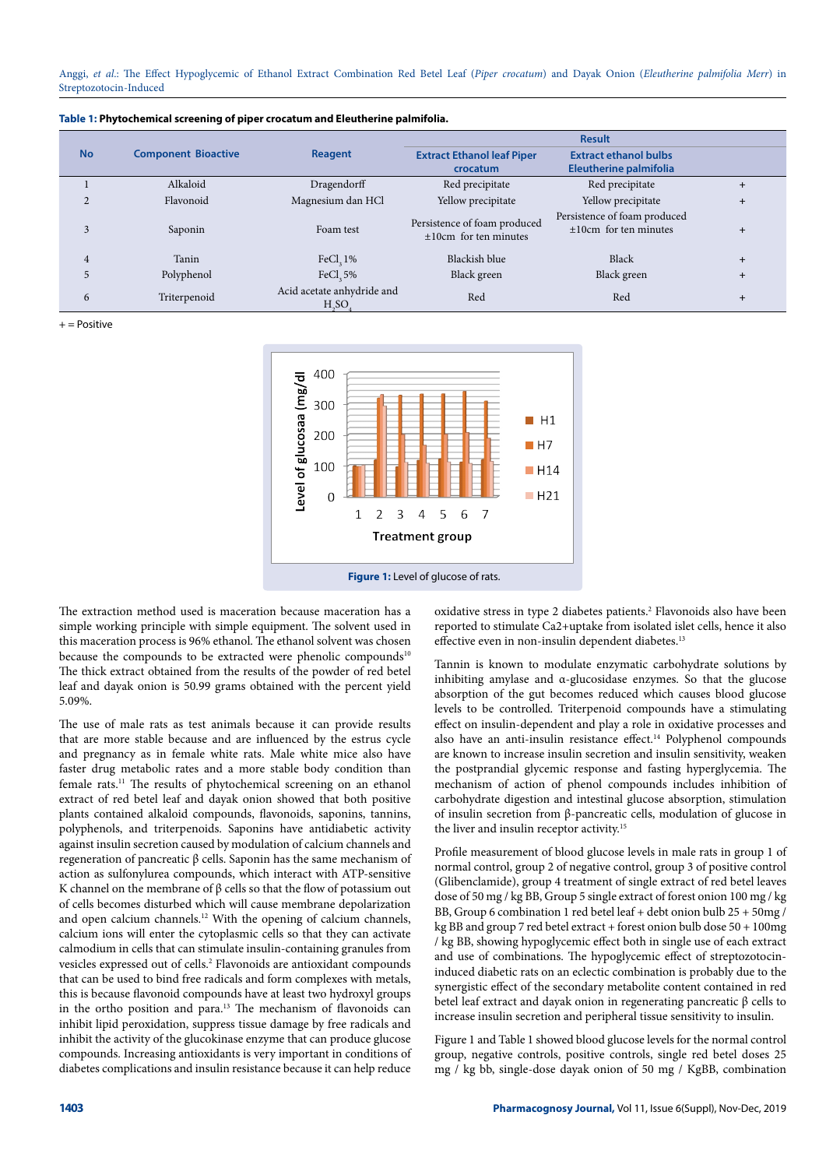|           | <b>Component Bioactive</b> | Reagent                                                      | <b>Result</b>                                           |                                                               |                |
|-----------|----------------------------|--------------------------------------------------------------|---------------------------------------------------------|---------------------------------------------------------------|----------------|
| <b>No</b> |                            |                                                              | <b>Extract Ethanol leaf Piper</b><br>crocatum           | <b>Extract ethanol bulbs</b><br><b>Eleutherine palmifolia</b> |                |
|           | Alkaloid                   | Dragendorff                                                  | Red precipitate                                         | Red precipitate                                               | $\ddot{}$      |
|           | Flavonoid                  | Magnesium dan HCl                                            | Yellow precipitate                                      | Yellow precipitate                                            | $\ddot{}$      |
| 3         | Saponin                    | Foam test                                                    | Persistence of foam produced<br>$±10cm$ for ten minutes | Persistence of foam produced<br>$±10cm$ for ten minutes       | $\ddot{}$      |
| 4         | Tanin                      | FeCl, $1\%$                                                  | Blackish blue                                           | Black                                                         | $\ddot{}$      |
|           | Polyphenol                 | FeCl, 5%                                                     | Black green                                             | Black green                                                   | $\overline{+}$ |
| 6         | Triterpenoid               | Acid acetate anhydride and<br>H <sub>s</sub> SO <sub>s</sub> | Red                                                     | Red                                                           | $\overline{+}$ |

**Table 1: Phytochemical screening of piper crocatum and Eleutherine palmifolia.**

 $+$  = Positive



The extraction method used is maceration because maceration has a simple working principle with simple equipment. The solvent used in this maceration process is 96% ethanol. The ethanol solvent was chosen because the compounds to be extracted were phenolic compounds<sup>10</sup> The thick extract obtained from the results of the powder of red betel leaf and dayak onion is 50.99 grams obtained with the percent yield 5.09%.

The use of male rats as test animals because it can provide results that are more stable because and are influenced by the estrus cycle and pregnancy as in female white rats. Male white mice also have faster drug metabolic rates and a more stable body condition than female rats.11 The results of phytochemical screening on an ethanol extract of red betel leaf and dayak onion showed that both positive plants contained alkaloid compounds, flavonoids, saponins, tannins, polyphenols, and triterpenoids. Saponins have antidiabetic activity against insulin secretion caused by modulation of calcium channels and regeneration of pancreatic β cells. Saponin has the same mechanism of action as sulfonylurea compounds, which interact with ATP-sensitive K channel on the membrane of  $\beta$  cells so that the flow of potassium out of cells becomes disturbed which will cause membrane depolarization and open calcium channels.12 With the opening of calcium channels, calcium ions will enter the cytoplasmic cells so that they can activate calmodium in cells that can stimulate insulin-containing granules from vesicles expressed out of cells.2 Flavonoids are antioxidant compounds that can be used to bind free radicals and form complexes with metals, this is because flavonoid compounds have at least two hydroxyl groups in the ortho position and para.13 The mechanism of flavonoids can inhibit lipid peroxidation, suppress tissue damage by free radicals and inhibit the activity of the glucokinase enzyme that can produce glucose compounds. Increasing antioxidants is very important in conditions of diabetes complications and insulin resistance because it can help reduce

oxidative stress in type 2 diabetes patients.<sup>2</sup> Flavonoids also have been reported to stimulate Ca2+uptake from isolated islet cells, hence it also effective even in non-insulin dependent diabetes.<sup>13</sup>

Tannin is known to modulate enzymatic carbohydrate solutions by inhibiting amylase and α-glucosidase enzymes. So that the glucose absorption of the gut becomes reduced which causes blood glucose levels to be controlled. Triterpenoid compounds have a stimulating effect on insulin-dependent and play a role in oxidative processes and also have an anti-insulin resistance effect.<sup>14</sup> Polyphenol compounds are known to increase insulin secretion and insulin sensitivity, weaken the postprandial glycemic response and fasting hyperglycemia. The mechanism of action of phenol compounds includes inhibition of carbohydrate digestion and intestinal glucose absorption, stimulation of insulin secretion from β-pancreatic cells, modulation of glucose in the liver and insulin receptor activity.<sup>15</sup>

Profile measurement of blood glucose levels in male rats in group 1 of normal control, group 2 of negative control, group 3 of positive control (Glibenclamide), group 4 treatment of single extract of red betel leaves dose of 50 mg / kg BB, Group 5 single extract of forest onion 100 mg / kg BB, Group 6 combination 1 red betel leaf + debt onion bulb 25 + 50mg / kg BB and group 7 red betel extract + forest onion bulb dose 50 + 100mg / kg BB, showing hypoglycemic effect both in single use of each extract and use of combinations. The hypoglycemic effect of streptozotocininduced diabetic rats on an eclectic combination is probably due to the synergistic effect of the secondary metabolite content contained in red betel leaf extract and dayak onion in regenerating pancreatic β cells to increase insulin secretion and peripheral tissue sensitivity to insulin.

Figure 1 and Table 1 showed blood glucose levels for the normal control group, negative controls, positive controls, single red betel doses 25 mg / kg bb, single-dose dayak onion of 50 mg / KgBB, combination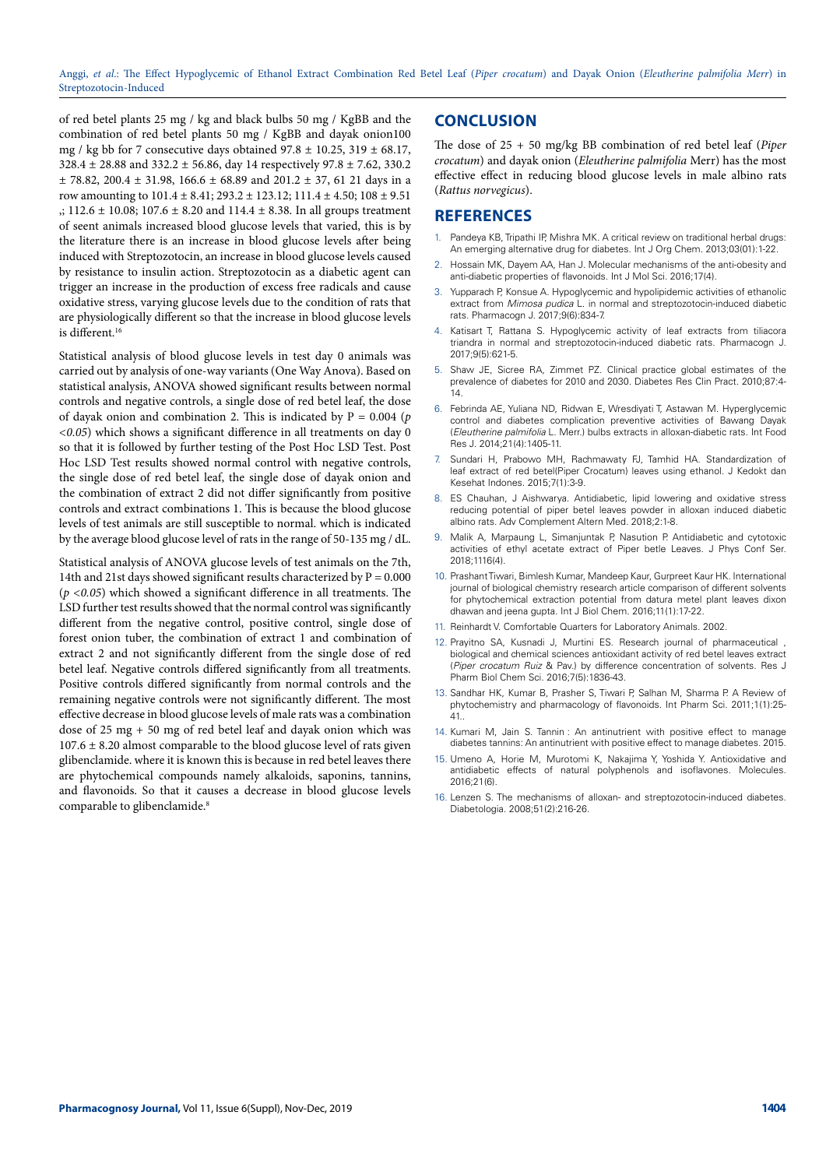of red betel plants 25 mg / kg and black bulbs 50 mg / KgBB and the combination of red betel plants 50 mg / KgBB and dayak onion100 mg / kg bb for 7 consecutive days obtained  $97.8 \pm 10.25$ ,  $319 \pm 68.17$ , 328.4 ± 28.88 and 332.2 ± 56.86, day 14 respectively 97.8 ± 7.62, 330.2  $\pm$  78.82, 200.4  $\pm$  31.98, 166.6  $\pm$  68.89 and 201.2  $\pm$  37, 61 21 days in a row amounting to  $101.4 \pm 8.41$ ;  $293.2 \pm 123.12$ ;  $111.4 \pm 4.50$ ;  $108 \pm 9.51$  $\therefore$  112.6  $\pm$  10.08; 107.6  $\pm$  8.20 and 114.4  $\pm$  8.38. In all groups treatment of seent animals increased blood glucose levels that varied, this is by the literature there is an increase in blood glucose levels after being induced with Streptozotocin, an increase in blood glucose levels caused by resistance to insulin action. Streptozotocin as a diabetic agent can trigger an increase in the production of excess free radicals and cause oxidative stress, varying glucose levels due to the condition of rats that are physiologically different so that the increase in blood glucose levels is different.<sup>16</sup>

Statistical analysis of blood glucose levels in test day 0 animals was carried out by analysis of one-way variants (One Way Anova). Based on statistical analysis, ANOVA showed significant results between normal controls and negative controls, a single dose of red betel leaf, the dose of dayak onion and combination 2. This is indicated by  $P = 0.004$  (*p <0.05*) which shows a significant difference in all treatments on day 0 so that it is followed by further testing of the Post Hoc LSD Test. Post Hoc LSD Test results showed normal control with negative controls, the single dose of red betel leaf, the single dose of dayak onion and the combination of extract 2 did not differ significantly from positive controls and extract combinations 1. This is because the blood glucose levels of test animals are still susceptible to normal. which is indicated by the average blood glucose level of rats in the range of 50-135 mg / dL.

Statistical analysis of ANOVA glucose levels of test animals on the 7th, 14th and 21st days showed significant results characterized by  $P = 0.000$  $(p \le 0.05)$  which showed a significant difference in all treatments. The LSD further test results showed that the normal control was significantly different from the negative control, positive control, single dose of forest onion tuber, the combination of extract 1 and combination of extract 2 and not significantly different from the single dose of red betel leaf. Negative controls differed significantly from all treatments. Positive controls differed significantly from normal controls and the remaining negative controls were not significantly different. The most effective decrease in blood glucose levels of male rats was a combination dose of 25 mg + 50 mg of red betel leaf and dayak onion which was  $107.6 \pm 8.20$  almost comparable to the blood glucose level of rats given glibenclamide. where it is known this is because in red betel leaves there are phytochemical compounds namely alkaloids, saponins, tannins, and flavonoids. So that it causes a decrease in blood glucose levels comparable to glibenclamide.<sup>8</sup>

# **CONCLUSION**

The dose of 25 + 50 mg/kg BB combination of red betel leaf (*Piper crocatum*) and dayak onion (*Eleutherine palmifolia* Merr) has the most effective effect in reducing blood glucose levels in male albino rats (*Rattus norvegicus*).

# **REFERENCES**

- 1. Pandeya KB, Tripathi IP, Mishra MK*.* A critical review on traditional herbal drugs: An emerging alternative drug for diabetes. Int J Org Chem. 2013;03(01):1-22.
- 2. Hossain MK, Dayem AA, Han J. Molecular mechanisms of the anti-obesity and anti-diabetic properties of flavonoids. Int J Mol Sci. 2016;17(4).
- Yupparach P, Konsue A. Hypoglycemic and hypolipidemic activities of ethanolic extract from *Mimosa pudica* L. in normal and streptozotocin-induced diabetic rats. Pharmacogn J. 2017;9(6):834-7.
- Katisart T, Rattana S. Hypoglycemic activity of leaf extracts from tiliacora triandra in normal and streptozotocin-induced diabetic rats. Pharmacogn J. 2017;9(5):621-5.
- 5. Shaw JE, Sicree RA, Zimmet PZ. Clinical practice global estimates of the prevalence of diabetes for 2010 and 2030. Diabetes Res Clin Pract. 2010;87:4- .<br>1 Л
- 6. Febrinda AE, Yuliana ND, Ridwan E, Wresdiyati T, Astawan M. Hyperglycemic control and diabetes complication preventive activities of Bawang Dayak (*Eleutherine palmifolia* L. Merr.) bulbs extracts in alloxan-diabetic rats. Int Food Res J. 2014;21(4):1405-11.
- 7. Sundari H, Prabowo MH, Rachmawaty FJ, Tamhid HA. Standardization of leaf extract of red betel(Piper Crocatum) leaves using ethanol. J Kedokt dan Kesehat Indones. 2015;7(1):3-9.
- 8. ES Chauhan, J Aishwarya. Antidiabetic, lipid lowering and oxidative stress reducing potential of piper betel leaves powder in alloxan induced diabetic albino rats. Adv Complement Altern Med. 2018;2:1-8.
- Malik A, Marpaung L, Simanjuntak P, Nasution P. Antidiabetic and cytotoxic activities of ethyl acetate extract of Piper betle Leaves. J Phys Conf Ser. 2018;1116(4).
- 10. Prashant Tiwari, Bimlesh Kumar, Mandeep Kaur, Gurpreet Kaur HK. International journal of biological chemistry research article comparison of different solvents for phytochemical extraction potential from datura metel plant leaves dixon dhawan and jeena gupta. Int J Biol Chem. 2016;11(1):17-22.
- 11. Reinhardt V. Comfortable Quarters for Laboratory Animals. 2002.
- 12. Prayitno SA, Kusnadi J, Murtini ES. Research journal of pharmaceutical , biological and chemical sciences antioxidant activity of red betel leaves extract (*Piper crocatum Ruiz* & Pav.) by difference concentration of solvents. Res J Pharm Biol Chem Sci. 2016;7(5):1836-43.
- 13. Sandhar HK, Kumar B, Prasher S, Tiwari P, Salhan M, Sharma P. A Review of phytochemistry and pharmacology of flavonoids. Int Pharm Sci. 2011;1(1):25- 41..
- 14. Kumari M, Jain S. Tannin : An antinutrient with positive effect to manage diabetes tannins: An antinutrient with positive effect to manage diabetes. 2015.
- 15. Umeno A, Horie M, Murotomi K, Nakajima Y, Yoshida Y. Antioxidative and antidiabetic effects of natural polyphenols and isoflavones. Molecules. 2016;21(6).
- 16. Lenzen S. The mechanisms of alloxan- and streptozotocin-induced diabetes. Diabetologia. 2008;51(2):216-26.